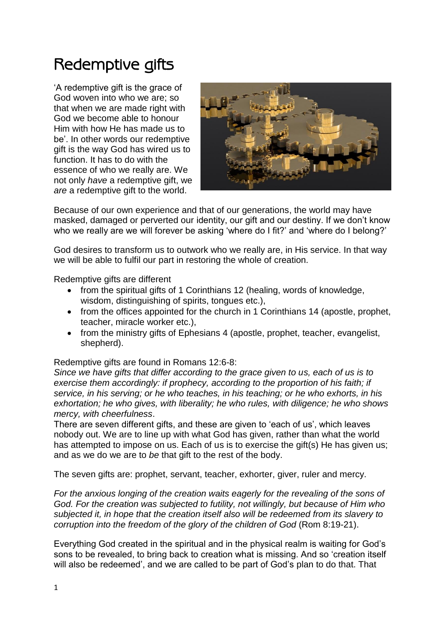# Redemptive gifts

'A redemptive gift is the grace of God woven into who we are; so that when we are made right with God we become able to honour Him with how He has made us to be'. In other words our redemptive gift is the way God has wired us to function. It has to do with the essence of who we really are. We not only *have* a redemptive gift, we *are* a redemptive gift to the world.



Because of our own experience and that of our generations, the world may have masked, damaged or perverted our identity, our gift and our destiny. If we don't know who we really are we will forever be asking 'where do I fit?' and 'where do I belong?'

God desires to transform us to outwork who we really are, in His service. In that way we will be able to fulfil our part in restoring the whole of creation.

Redemptive gifts are different

- from the spiritual gifts of 1 Corinthians 12 (healing, words of knowledge, wisdom, distinguishing of spirits, tongues etc.),
- from the offices appointed for the church in 1 Corinthians 14 (apostle, prophet, teacher, miracle worker etc.),
- from the ministry gifts of Ephesians 4 (apostle, prophet, teacher, evangelist, shepherd).

Redemptive gifts are found in Romans 12:6-8:

*Since we have gifts that differ according to the grace given to us, each of us is to exercise them accordingly: if prophecy, according to the proportion of his faith; if service, in his serving; or he who teaches, in his teaching; or he who exhorts, in his exhortation; he who gives, with liberality; he who rules, with diligence; he who shows mercy, with cheerfulness*.

There are seven different gifts, and these are given to 'each of us', which leaves nobody out. We are to line up with what God has given, rather than what the world has attempted to impose on us. Each of us is to exercise the gift(s) He has given us; and as we do we are to *be* that gift to the rest of the body.

The seven gifts are: prophet, servant, teacher, exhorter, giver, ruler and mercy.

*For the anxious longing of the creation waits eagerly for the revealing of the sons of God. For the creation was subjected to futility, not willingly, but because of Him who subjected it, in hope that the creation itself also will be redeemed from its slavery to corruption into the freedom of the glory of the children of God* (Rom 8:19-21).

Everything God created in the spiritual and in the physical realm is waiting for God's sons to be revealed, to bring back to creation what is missing. And so 'creation itself will also be redeemed', and we are called to be part of God's plan to do that. That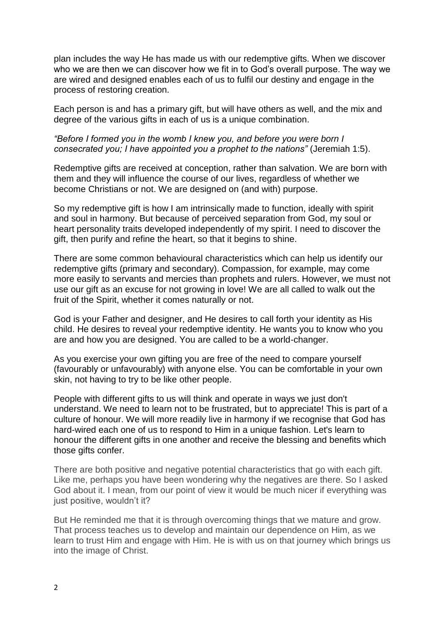plan includes the way He has made us with our redemptive gifts. When we discover who we are then we can discover how we fit in to God's overall purpose. The way we are wired and designed enables each of us to fulfil our destiny and engage in the process of restoring creation.

Each person is and has a primary gift, but will have others as well, and the mix and degree of the various gifts in each of us is a unique combination.

### *"Before I formed you in the womb I knew you, and before you were born I consecrated you; I have appointed you a prophet to the nations"* (Jeremiah 1:5).

Redemptive gifts are received at conception, rather than salvation. We are born with them and they will influence the course of our lives, regardless of whether we become Christians or not. We are designed on (and with) purpose.

So my redemptive gift is how I am intrinsically made to function, ideally with spirit and soul in harmony. But because of perceived separation from God, my soul or heart personality traits developed independently of my spirit. I need to discover the gift, then purify and refine the heart, so that it begins to shine.

There are some common behavioural characteristics which can help us identify our redemptive gifts (primary and secondary). Compassion, for example, may come more easily to servants and mercies than prophets and rulers. However, we must not use our gift as an excuse for not growing in love! We are all called to walk out the fruit of the Spirit, whether it comes naturally or not.

God is your Father and designer, and He desires to call forth your identity as His child. He desires to reveal your redemptive identity. He wants you to know who you are and how you are designed. You are called to be a world-changer.

As you exercise your own gifting you are free of the need to compare yourself (favourably or unfavourably) with anyone else. You can be comfortable in your own skin, not having to try to be like other people.

People with different gifts to us will think and operate in ways we just don't understand. We need to learn not to be frustrated, but to appreciate! This is part of a culture of honour. We will more readily live in harmony if we recognise that God has hard-wired each one of us to respond to Him in a unique fashion. Let's learn to honour the different gifts in one another and receive the blessing and benefits which those gifts confer.

There are both positive and negative potential characteristics that go with each gift. Like me, perhaps you have been wondering why the negatives are there. So I asked God about it. I mean, from our point of view it would be much nicer if everything was just positive, wouldn't it?

But He reminded me that it is through overcoming things that we mature and grow. That process teaches us to develop and maintain our dependence on Him, as we learn to trust Him and engage with Him. He is with us on that journey which brings us into the image of Christ.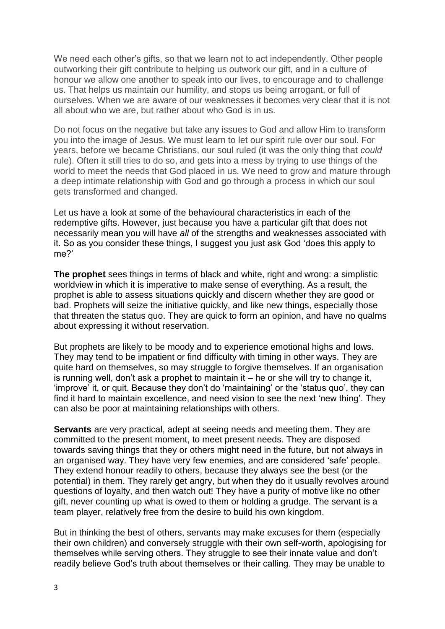We need each other's gifts, so that we learn not to act independently. Other people outworking their gift contribute to helping us outwork our gift, and in a culture of honour we allow one another to speak into our lives, to encourage and to challenge us. That helps us maintain our humility, and stops us being arrogant, or full of ourselves. When we are aware of our weaknesses it becomes very clear that it is not all about who we are, but rather about who God is in us.

Do not focus on the negative but take any issues to God and allow Him to transform you into the image of Jesus. We must learn to let our spirit rule over our soul. For years, before we became Christians, our soul ruled (it was the only thing that *could* rule). Often it still tries to do so, and gets into a mess by trying to use things of the world to meet the needs that God placed in us. We need to grow and mature through a deep intimate relationship with God and go through a process in which our soul gets transformed and changed.

Let us have a look at some of the behavioural characteristics in each of the redemptive gifts. However, just because you have a particular gift that does not necessarily mean you will have *all* of the strengths and weaknesses associated with it. So as you consider these things, I suggest you just ask God 'does this apply to me?'

**The prophet** sees things in terms of black and white, right and wrong: a simplistic worldview in which it is imperative to make sense of everything. As a result, the prophet is able to assess situations quickly and discern whether they are good or bad. Prophets will seize the initiative quickly, and like new things, especially those that threaten the status quo. They are quick to form an opinion, and have no qualms about expressing it without reservation.

But prophets are likely to be moody and to experience emotional highs and lows. They may tend to be impatient or find difficulty with timing in other ways. They are quite hard on themselves, so may struggle to forgive themselves. If an organisation is running well, don't ask a prophet to maintain it – he or she will try to change it, 'improve' it, or quit. Because they don't do 'maintaining' or the 'status quo', they can find it hard to maintain excellence, and need vision to see the next 'new thing'. They can also be poor at maintaining relationships with others.

**Servants** are very practical, adept at seeing needs and meeting them. They are committed to the present moment, to meet present needs. They are disposed towards saving things that they or others might need in the future, but not always in an organised way. They have very few enemies, and are considered 'safe' people. They extend honour readily to others, because they always see the best (or the potential) in them. They rarely get angry, but when they do it usually revolves around questions of loyalty, and then watch out! They have a purity of motive like no other gift, never counting up what is owed to them or holding a grudge. The servant is a team player, relatively free from the desire to build his own kingdom.

But in thinking the best of others, servants may make excuses for them (especially their own children) and conversely struggle with their own self-worth, apologising for themselves while serving others. They struggle to see their innate value and don't readily believe God's truth about themselves or their calling. They may be unable to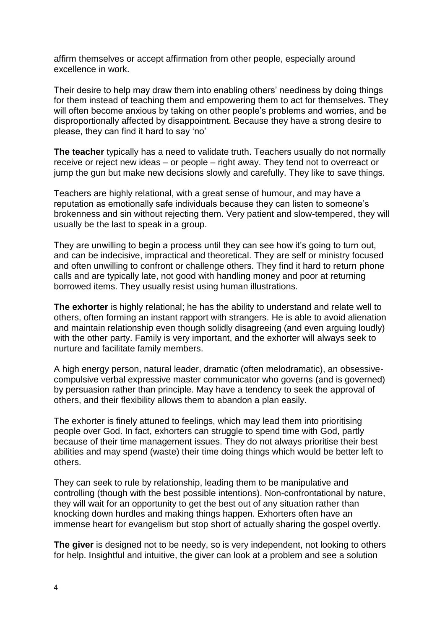affirm themselves or accept affirmation from other people, especially around excellence in work.

Their desire to help may draw them into enabling others' neediness by doing things for them instead of teaching them and empowering them to act for themselves. They will often become anxious by taking on other people's problems and worries, and be disproportionally affected by disappointment. Because they have a strong desire to please, they can find it hard to say 'no'

**The teacher** typically has a need to validate truth. Teachers usually do not normally receive or reject new ideas – or people – right away. They tend not to overreact or jump the gun but make new decisions slowly and carefully. They like to save things.

Teachers are highly relational, with a great sense of humour, and may have a reputation as emotionally safe individuals because they can listen to someone's brokenness and sin without rejecting them. Very patient and slow-tempered, they will usually be the last to speak in a group.

They are unwilling to begin a process until they can see how it's going to turn out, and can be indecisive, impractical and theoretical. They are self or ministry focused and often unwilling to confront or challenge others. They find it hard to return phone calls and are typically late, not good with handling money and poor at returning borrowed items. They usually resist using human illustrations.

**The exhorter** is highly relational; he has the ability to understand and relate well to others, often forming an instant rapport with strangers. He is able to avoid alienation and maintain relationship even though solidly disagreeing (and even arguing loudly) with the other party. Family is very important, and the exhorter will always seek to nurture and facilitate family members.

A high energy person, natural leader, dramatic (often melodramatic), an obsessivecompulsive verbal expressive master communicator who governs (and is governed) by persuasion rather than principle. May have a tendency to seek the approval of others, and their flexibility allows them to abandon a plan easily.

The exhorter is finely attuned to feelings, which may lead them into prioritising people over God. In fact, exhorters can struggle to spend time with God, partly because of their time management issues. They do not always prioritise their best abilities and may spend (waste) their time doing things which would be better left to others.

They can seek to rule by relationship, leading them to be manipulative and controlling (though with the best possible intentions). Non-confrontational by nature, they will wait for an opportunity to get the best out of any situation rather than knocking down hurdles and making things happen. Exhorters often have an immense heart for evangelism but stop short of actually sharing the gospel overtly.

**The giver** is designed not to be needy, so is very independent, not looking to others for help. Insightful and intuitive, the giver can look at a problem and see a solution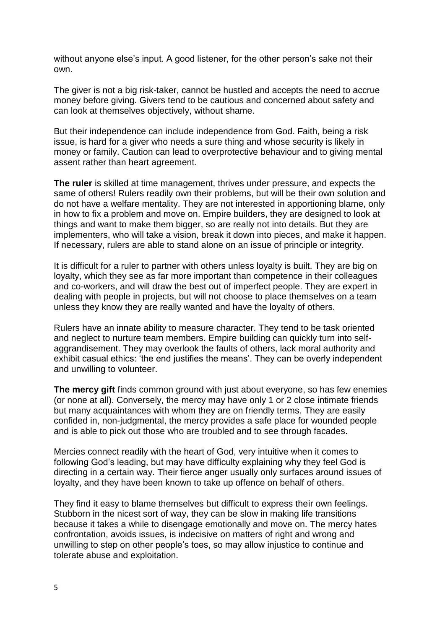without anyone else's input. A good listener, for the other person's sake not their own.

The giver is not a big risk-taker, cannot be hustled and accepts the need to accrue money before giving. Givers tend to be cautious and concerned about safety and can look at themselves objectively, without shame.

But their independence can include independence from God. Faith, being a risk issue, is hard for a giver who needs a sure thing and whose security is likely in money or family. Caution can lead to overprotective behaviour and to giving mental assent rather than heart agreement.

**The ruler** is skilled at time management, thrives under pressure, and expects the same of others! Rulers readily own their problems, but will be their own solution and do not have a welfare mentality. They are not interested in apportioning blame, only in how to fix a problem and move on. Empire builders, they are designed to look at things and want to make them bigger, so are really not into details. But they are implementers, who will take a vision, break it down into pieces, and make it happen. If necessary, rulers are able to stand alone on an issue of principle or integrity.

It is difficult for a ruler to partner with others unless loyalty is built. They are big on loyalty, which they see as far more important than competence in their colleagues and co-workers, and will draw the best out of imperfect people. They are expert in dealing with people in projects, but will not choose to place themselves on a team unless they know they are really wanted and have the loyalty of others.

Rulers have an innate ability to measure character. They tend to be task oriented and neglect to nurture team members. Empire building can quickly turn into selfaggrandisement. They may overlook the faults of others, lack moral authority and exhibit casual ethics: 'the end justifies the means'. They can be overly independent and unwilling to volunteer.

**The mercy gift** finds common ground with just about everyone, so has few enemies (or none at all). Conversely, the mercy may have only 1 or 2 close intimate friends but many acquaintances with whom they are on friendly terms. They are easily confided in, non-judgmental, the mercy provides a safe place for wounded people and is able to pick out those who are troubled and to see through facades.

Mercies connect readily with the heart of God, very intuitive when it comes to following God's leading, but may have difficulty explaining why they feel God is directing in a certain way. Their fierce anger usually only surfaces around issues of loyalty, and they have been known to take up offence on behalf of others.

They find it easy to blame themselves but difficult to express their own feelings. Stubborn in the nicest sort of way, they can be slow in making life transitions because it takes a while to disengage emotionally and move on. The mercy hates confrontation, avoids issues, is indecisive on matters of right and wrong and unwilling to step on other people's toes, so may allow injustice to continue and tolerate abuse and exploitation.